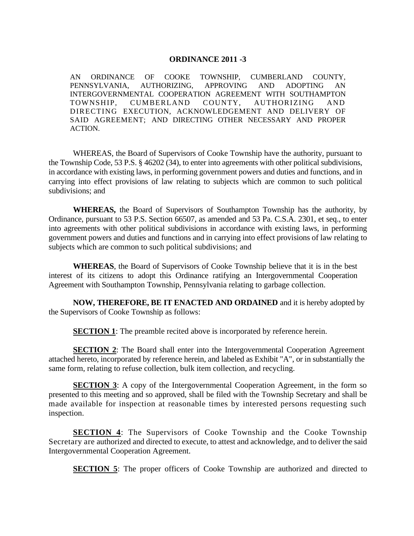## **ORDINANCE 2011 -3**

AN ORDINANCE OF COOKE TOWNSHIP, CUMBERLAND COUNTY, PENNSYLVANIA, AUTHORIZING, APPROVING AND ADOPTING AN INTERGOVERNMENTAL COOPERATION AGREEMENT WITH SOUTHAMPTON TOWNSHIP, CUMBERLAND COUNTY, AUTHORIZING AND DIRECTING EXECUTION, ACKNOWLEDGEMENT AND DELIVERY OF SAID AGREEMENT; AND DIRECTING OTHER NECESSARY AND PROPER ACTION.

WHEREAS, the Board of Supervisors of Cooke Township have the authority, pursuant to the Township Code, 53 P.S. § 46202 (34), to enter into agreements with other political subdivisions, in accordance with existing laws, in performing government powers and duties and functions, and in carrying into effect provisions of law relating to subjects which are common to such political subdivisions; and

**WHEREAS,** the Board of Supervisors of Southampton Township has the authority, by Ordinance, pursuant to 53 P.S. Section 66507, as amended and 53 Pa. C.S.A. 2301, et seq., to enter into agreements with other political subdivisions in accordance with existing laws, in performing government powers and duties and functions and in carrying into effect provisions of law relating to subjects which are common to such political subdivisions; and

**WHEREAS**, the Board of Supervisors of Cooke Township believe that it is in the best interest of its citizens to adopt this Ordinance ratifying an Intergovernmental Cooperation Agreement with Southampton Township, Pennsylvania relating to garbage collection.

**NOW, THEREFORE, BE IT ENACTED AND ORDAINED** and it is hereby adopted by the Supervisors of Cooke Township as follows:

**SECTION 1**: The preamble recited above is incorporated by reference herein.

**SECTION 2:** The Board shall enter into the Intergovernmental Cooperation Agreement attached hereto, incorporated by reference herein, and labeled as Exhibit "A", or in substantially the same form, relating to refuse collection, bulk item collection, and recycling.

**SECTION 3**: A copy of the Intergovernmental Cooperation Agreement, in the form so presented to this meeting and so approved, shall be filed with the Township Secretary and shall be made available for inspection at reasonable times by interested persons requesting such inspection.

**SECTION 4:** The Supervisors of Cooke Township and the Cooke Township Secretary are authorized and directed to execute, to attest and acknowledge, and to deliver the said Intergovernmental Cooperation Agreement.

**SECTION 5**: The proper officers of Cooke Township are authorized and directed to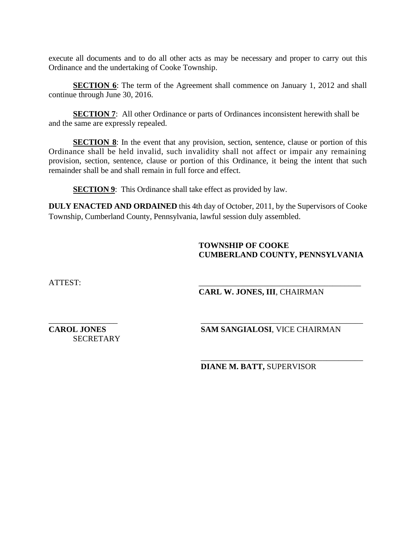execute all documents and to do all other acts as may be necessary and proper to carry out this Ordinance and the undertaking of Cooke Township.

**SECTION 6**: The term of the Agreement shall commence on January 1, 2012 and shall continue through June 30, 2016.

**SECTION 7:** All other Ordinance or parts of Ordinances inconsistent herewith shall be and the same are expressly repealed.

**SECTION 8**: In the event that any provision, section, sentence, clause or portion of this Ordinance shall be held invalid, such invalidity shall not affect or impair any remaining provision, section, sentence, clause or portion of this Ordinance, it being the intent that such remainder shall be and shall remain in full force and effect.

**SECTION 9:** This Ordinance shall take effect as provided by law.

**DULY ENACTED AND ORDAINED** this 4th day of October, 2011, by the Supervisors of Cooke Township, Cumberland County, Pennsylvania, lawful session duly assembled.

 $\overline{\phantom{a}}$  , which is a set of the set of the set of the set of the set of the set of the set of the set of the set of the set of the set of the set of the set of the set of the set of the set of the set of the set of th

## **TOWNSHIP OF COOKE CUMBERLAND COUNTY, PENNSYLVANIA**

ATTEST: \_\_\_\_\_\_\_\_\_\_\_\_\_\_\_\_\_\_\_\_\_\_\_\_\_\_\_\_\_\_\_\_\_\_\_\_\_\_\_\_

**CARL W. JONES, III**, CHAIRMAN

\_\_\_\_\_\_\_\_\_\_\_\_\_\_\_\_\_ \_\_\_\_\_\_\_\_\_\_\_\_\_\_\_\_\_\_\_\_\_\_\_\_\_\_\_\_\_\_\_\_\_\_\_\_\_\_\_\_ **SECRETARY** 

**CAROL JONES SAM SANGIALOSI**, VICE CHAIRMAN

**DIANE M. BATT,** SUPERVISOR